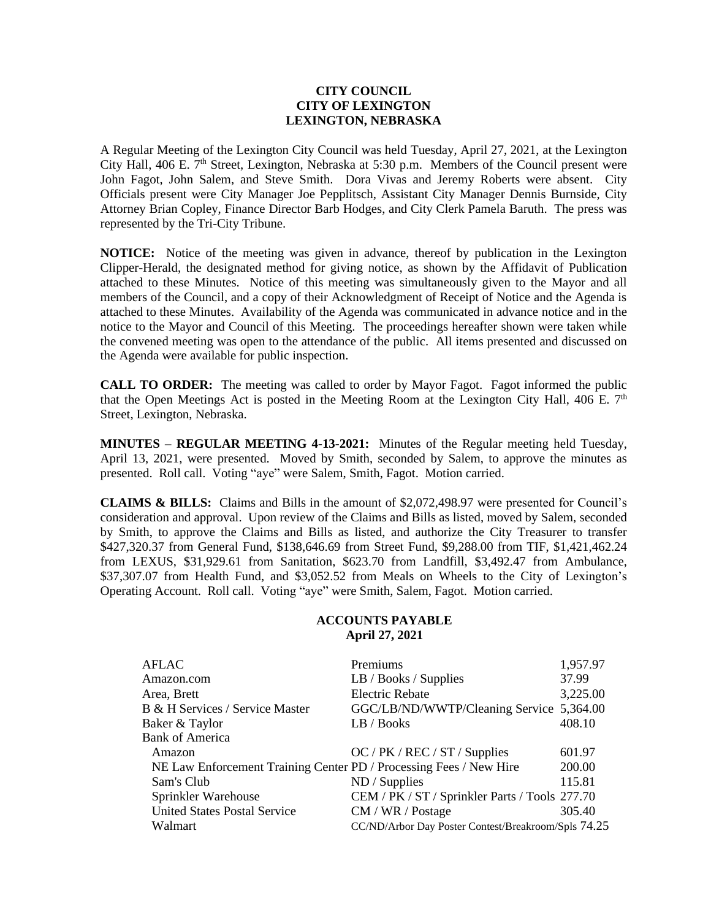## **CITY COUNCIL CITY OF LEXINGTON LEXINGTON, NEBRASKA**

A Regular Meeting of the Lexington City Council was held Tuesday, April 27, 2021, at the Lexington City Hall, 406 E. 7<sup>th</sup> Street, Lexington, Nebraska at 5:30 p.m. Members of the Council present were John Fagot, John Salem, and Steve Smith. Dora Vivas and Jeremy Roberts were absent. City Officials present were City Manager Joe Pepplitsch, Assistant City Manager Dennis Burnside, City Attorney Brian Copley, Finance Director Barb Hodges, and City Clerk Pamela Baruth. The press was represented by the Tri-City Tribune.

**NOTICE:** Notice of the meeting was given in advance, thereof by publication in the Lexington Clipper-Herald, the designated method for giving notice, as shown by the Affidavit of Publication attached to these Minutes. Notice of this meeting was simultaneously given to the Mayor and all members of the Council, and a copy of their Acknowledgment of Receipt of Notice and the Agenda is attached to these Minutes. Availability of the Agenda was communicated in advance notice and in the notice to the Mayor and Council of this Meeting. The proceedings hereafter shown were taken while the convened meeting was open to the attendance of the public. All items presented and discussed on the Agenda were available for public inspection.

**CALL TO ORDER:** The meeting was called to order by Mayor Fagot. Fagot informed the public that the Open Meetings Act is posted in the Meeting Room at the Lexington City Hall, 406 E.  $7<sup>th</sup>$ Street, Lexington, Nebraska.

**MINUTES – REGULAR MEETING 4-13-2021:** Minutes of the Regular meeting held Tuesday, April 13, 2021, were presented. Moved by Smith, seconded by Salem, to approve the minutes as presented. Roll call. Voting "aye" were Salem, Smith, Fagot. Motion carried.

**CLAIMS & BILLS:** Claims and Bills in the amount of \$2,072,498.97 were presented for Council's consideration and approval. Upon review of the Claims and Bills as listed, moved by Salem, seconded by Smith, to approve the Claims and Bills as listed, and authorize the City Treasurer to transfer \$427,320.37 from General Fund, \$138,646.69 from Street Fund, \$9,288.00 from TIF, \$1,421,462.24 from LEXUS, \$31,929.61 from Sanitation, \$623.70 from Landfill, \$3,492.47 from Ambulance, \$37,307.07 from Health Fund, and \$3,052.52 from Meals on Wheels to the City of Lexington's Operating Account. Roll call. Voting "aye" were Smith, Salem, Fagot. Motion carried.

## **ACCOUNTS PAYABLE April 27, 2021**

| AFLAC                                                              | Premiums                                            | 1,957.97 |
|--------------------------------------------------------------------|-----------------------------------------------------|----------|
| Amazon.com                                                         | LB / Books / Supplies                               | 37.99    |
| Area, Brett                                                        | <b>Electric Rebate</b>                              | 3,225.00 |
| B & H Services / Service Master                                    | GGC/LB/ND/WWTP/Cleaning Service 5,364.00            |          |
| Baker & Taylor                                                     | LB / Books                                          | 408.10   |
| <b>Bank of America</b>                                             |                                                     |          |
| Amazon                                                             | $OC$ / PK / REC / ST / Supplies                     | 601.97   |
| NE Law Enforcement Training Center PD / Processing Fees / New Hire |                                                     | 200.00   |
| Sam's Club                                                         | ND / Supplies                                       | 115.81   |
| Sprinkler Warehouse                                                | CEM / PK / ST / Sprinkler Parts / Tools 277.70      |          |
| <b>United States Postal Service</b>                                | CM / WR / Postage                                   | 305.40   |
| Walmart                                                            | CC/ND/Arbor Day Poster Contest/Breakroom/Spls 74.25 |          |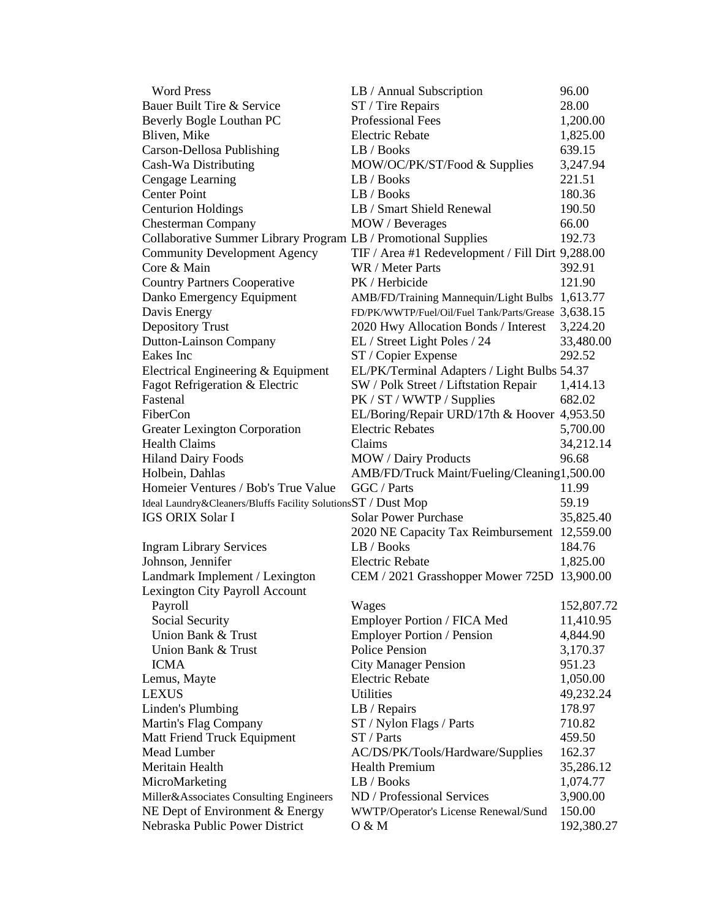| <b>Word Press</b>                                              | LB / Annual Subscription                            | 96.00      |
|----------------------------------------------------------------|-----------------------------------------------------|------------|
| Bauer Built Tire & Service                                     | ST / Tire Repairs                                   | 28.00      |
| Beverly Bogle Louthan PC                                       | <b>Professional Fees</b>                            | 1,200.00   |
| Bliven, Mike                                                   | Electric Rebate                                     | 1,825.00   |
| Carson-Dellosa Publishing                                      | LB / Books                                          | 639.15     |
| Cash-Wa Distributing                                           | MOW/OC/PK/ST/Food & Supplies                        | 3,247.94   |
| Cengage Learning                                               | LB / Books                                          | 221.51     |
| <b>Center Point</b>                                            | LB / Books                                          | 180.36     |
| <b>Centurion Holdings</b>                                      | LB / Smart Shield Renewal                           | 190.50     |
| <b>Chesterman Company</b>                                      | MOW / Beverages                                     | 66.00      |
| Collaborative Summer Library Program LB / Promotional Supplies |                                                     | 192.73     |
| <b>Community Development Agency</b>                            | TIF / Area #1 Redevelopment / Fill Dirt 9,288.00    |            |
| Core & Main                                                    | WR / Meter Parts                                    | 392.91     |
| <b>Country Partners Cooperative</b>                            | PK / Herbicide                                      | 121.90     |
| Danko Emergency Equipment                                      | AMB/FD/Training Mannequin/Light Bulbs               | 1,613.77   |
| Davis Energy                                                   | FD/PK/WWTP/Fuel/Oil/Fuel Tank/Parts/Grease 3,638.15 |            |
| <b>Depository Trust</b>                                        | 2020 Hwy Allocation Bonds / Interest                | 3,224.20   |
|                                                                | EL / Street Light Poles / 24                        |            |
| <b>Dutton-Lainson Company</b><br>Eakes Inc                     |                                                     | 33,480.00  |
|                                                                | ST / Copier Expense                                 | 292.52     |
| Electrical Engineering & Equipment                             | EL/PK/Terminal Adapters / Light Bulbs 54.37         |            |
| Fagot Refrigeration & Electric                                 | SW / Polk Street / Liftstation Repair               | 1,414.13   |
| Fastenal                                                       | PK / ST / WWTP / Supplies                           | 682.02     |
| FiberCon                                                       | EL/Boring/Repair URD/17th & Hoover 4,953.50         |            |
| Greater Lexington Corporation                                  | <b>Electric Rebates</b>                             | 5,700.00   |
| <b>Health Claims</b>                                           | Claims                                              | 34,212.14  |
| <b>Hiland Dairy Foods</b>                                      | MOW / Dairy Products                                | 96.68      |
| Holbein, Dahlas                                                | AMB/FD/Truck Maint/Fueling/Cleaning1,500.00         |            |
| Homeier Ventures / Bob's True Value                            | GGC / Parts                                         | 11.99      |
| Ideal Laundry&Cleaners/Bluffs Facility SolutionsST / Dust Mop  |                                                     | 59.19      |
| <b>IGS ORIX Solar I</b>                                        | <b>Solar Power Purchase</b>                         | 35,825.40  |
|                                                                | 2020 NE Capacity Tax Reimbursement                  | 12,559.00  |
| <b>Ingram Library Services</b>                                 | LB/Books                                            | 184.76     |
| Johnson, Jennifer                                              | <b>Electric Rebate</b>                              | 1,825.00   |
| Landmark Implement / Lexington                                 | CEM / 2021 Grasshopper Mower 725D                   | 13,900.00  |
| Lexington City Payroll Account                                 |                                                     |            |
| Payroll                                                        | Wages                                               | 152,807.72 |
| Social Security                                                | Employer Portion / FICA Med                         | 11,410.95  |
| Union Bank & Trust                                             | <b>Employer Portion / Pension</b>                   | 4,844.90   |
| Union Bank & Trust                                             | <b>Police Pension</b>                               | 3,170.37   |
| <b>ICMA</b>                                                    | <b>City Manager Pension</b>                         | 951.23     |
| Lemus, Mayte                                                   | <b>Electric Rebate</b>                              | 1,050.00   |
| LEXUS                                                          | Utilities                                           | 49,232.24  |
| Linden's Plumbing                                              | LB / Repairs                                        | 178.97     |
| Martin's Flag Company                                          | ST / Nylon Flags / Parts                            | 710.82     |
| Matt Friend Truck Equipment                                    | ST / Parts                                          | 459.50     |
| Mead Lumber                                                    | AC/DS/PK/Tools/Hardware/Supplies                    | 162.37     |
| Meritain Health                                                | <b>Health Premium</b>                               | 35,286.12  |
| MicroMarketing                                                 | LB / Books                                          | 1,074.77   |
| Miller&Associates Consulting Engineers                         | ND / Professional Services                          | 3,900.00   |
| NE Dept of Environment & Energy                                | WWTP/Operator's License Renewal/Sund                | 150.00     |
| Nebraska Public Power District                                 | 0 & M                                               | 192,380.27 |
|                                                                |                                                     |            |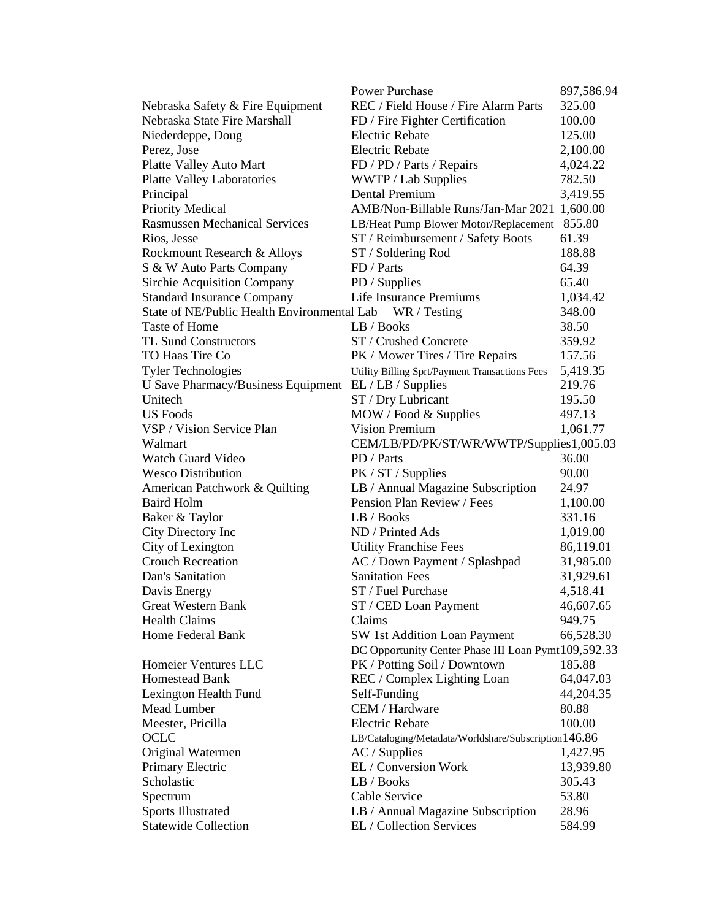|                                             | <b>Power Purchase</b>                                | 897,586.94 |
|---------------------------------------------|------------------------------------------------------|------------|
| Nebraska Safety & Fire Equipment            | REC / Field House / Fire Alarm Parts                 | 325.00     |
| Nebraska State Fire Marshall                | FD / Fire Fighter Certification                      | 100.00     |
| Niederdeppe, Doug                           | <b>Electric Rebate</b>                               | 125.00     |
| Perez, Jose                                 | <b>Electric Rebate</b>                               | 2,100.00   |
| Platte Valley Auto Mart                     | FD / PD / Parts / Repairs                            | 4,024.22   |
| <b>Platte Valley Laboratories</b>           | WWTP / Lab Supplies                                  | 782.50     |
| Principal                                   | Dental Premium                                       | 3,419.55   |
| Priority Medical                            | AMB/Non-Billable Runs/Jan-Mar 2021 1,600.00          |            |
| <b>Rasmussen Mechanical Services</b>        | LB/Heat Pump Blower Motor/Replacement                | 855.80     |
| Rios, Jesse                                 | ST / Reimbursement / Safety Boots                    | 61.39      |
| Rockmount Research & Alloys                 | ST / Soldering Rod                                   | 188.88     |
| S & W Auto Parts Company                    | FD / Parts                                           | 64.39      |
| Sirchie Acquisition Company                 | PD / Supplies                                        | 65.40      |
| <b>Standard Insurance Company</b>           | Life Insurance Premiums                              | 1,034.42   |
| State of NE/Public Health Environmental Lab | WR / Testing                                         | 348.00     |
| Taste of Home                               | LB / Books                                           | 38.50      |
| <b>TL Sund Constructors</b>                 | ST / Crushed Concrete                                | 359.92     |
| TO Haas Tire Co                             |                                                      |            |
|                                             | PK / Mower Tires / Tire Repairs                      | 157.56     |
| <b>Tyler Technologies</b>                   | Utility Billing Sprt/Payment Transactions Fees       | 5,419.35   |
| U Save Pharmacy/Business Equipment          | EL / LB / Supplies                                   | 219.76     |
| Unitech                                     | ST / Dry Lubricant                                   | 195.50     |
| <b>US Foods</b>                             | MOW / Food & Supplies                                | 497.13     |
| VSP / Vision Service Plan                   | <b>Vision Premium</b>                                | 1,061.77   |
| Walmart                                     | CEM/LB/PD/PK/ST/WR/WWTP/Supplies1,005.03             |            |
| <b>Watch Guard Video</b>                    | PD / Parts                                           | 36.00      |
| <b>Wesco Distribution</b>                   | PK / ST / Supplies                                   | 90.00      |
| American Patchwork & Quilting               | LB / Annual Magazine Subscription                    | 24.97      |
| <b>Baird Holm</b>                           | Pension Plan Review / Fees                           | 1,100.00   |
| Baker & Taylor                              | LB / Books                                           | 331.16     |
| City Directory Inc                          | ND / Printed Ads                                     | 1,019.00   |
| City of Lexington                           | <b>Utility Franchise Fees</b>                        | 86,119.01  |
| <b>Crouch Recreation</b>                    | AC / Down Payment / Splashpad                        | 31,985.00  |
| Dan's Sanitation                            | <b>Sanitation Fees</b>                               | 31,929.61  |
| Davis Energy                                | ST / Fuel Purchase                                   | 4,518.41   |
| <b>Great Western Bank</b>                   | ST / CED Loan Payment                                | 46,607.65  |
| <b>Health Claims</b>                        | Claims                                               | 949.75     |
| Home Federal Bank                           | SW 1st Addition Loan Payment                         | 66,528.30  |
|                                             | DC Opportunity Center Phase III Loan Pymt109,592.33  |            |
| Homeier Ventures LLC                        | PK / Potting Soil / Downtown                         | 185.88     |
| Homestead Bank                              | REC / Complex Lighting Loan                          | 64,047.03  |
| Lexington Health Fund                       | Self-Funding                                         | 44,204.35  |
| Mead Lumber                                 | CEM / Hardware                                       | 80.88      |
| Meester, Pricilla                           | <b>Electric Rebate</b>                               | 100.00     |
| OCLC                                        | LB/Cataloging/Metadata/Worldshare/Subscription146.86 |            |
| Original Watermen                           | $AC /$ Supplies                                      | 1,427.95   |
| Primary Electric                            | EL / Conversion Work                                 | 13,939.80  |
| Scholastic                                  | LB / Books                                           | 305.43     |
| Spectrum                                    | Cable Service                                        | 53.80      |
| <b>Sports Illustrated</b>                   | LB / Annual Magazine Subscription                    | 28.96      |
| <b>Statewide Collection</b>                 | EL / Collection Services                             | 584.99     |
|                                             |                                                      |            |